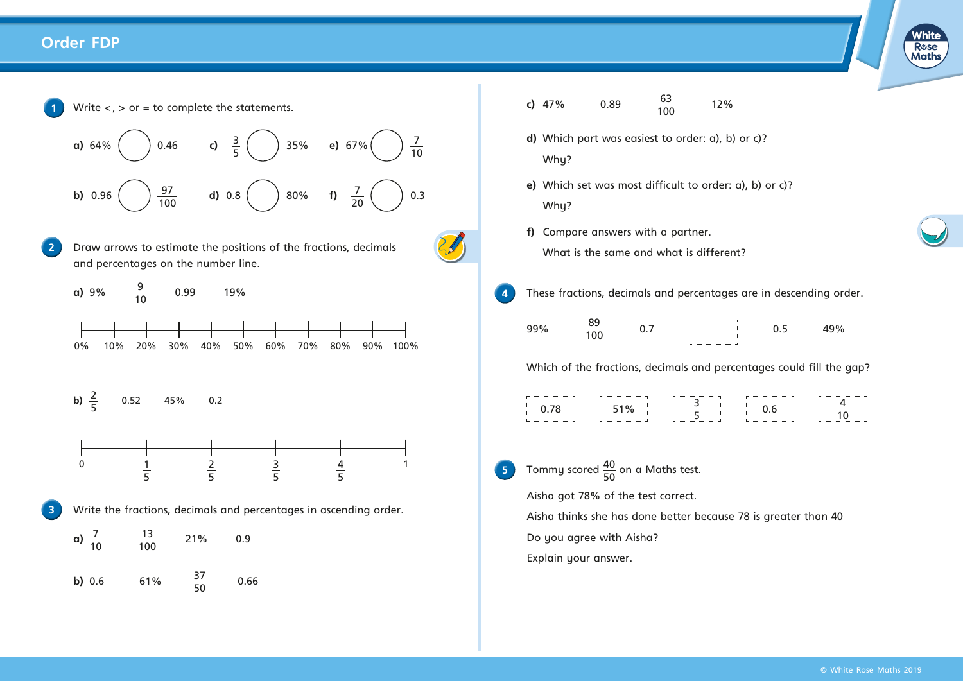## **Order FDP**